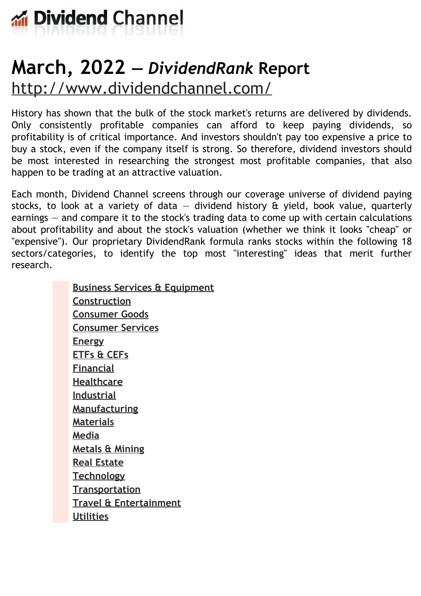

# **March, 2022 —** *DividendRank* **Report** <http://www.dividendchannel.com/>

History has shown that the bulk of the stock market's returns are delivered by dividends. Only consistently profitable companies can afford to keep paying dividends, so profitability is of critical importance. And investors shouldn't pay too expensive a price to buy a stock, even if the company itself is strong. So therefore, dividend investors should be most interested in researching the strongest most profitable companies, that also happen to be trading at an attractive valuation.

Each month, Dividend Channel screens through our coverage universe of dividend paying stocks, to look at a variety of data  $-$  dividend history  $\hat{a}$  yield, book value, quarterly earnings — and compare it to the stock's trading data to come up with certain calculations about profitability and about the stock's valuation (whether we think it looks ''cheap'' or "expensive"). Our proprietary DividendRank formula ranks stocks within the following 18 sectors/categories, to identify the top most ''interesting'' ideas that merit further research.

> **Business Services & [Equipment](file:///root/temp.html#l01) [Construction](file:///root/temp.html#l02) [Consumer](file:///root/temp.html#l03) Goods [Consumer](file:///root/temp.html#l04) Services [Energy](file:///root/temp.html#l05) [ETFs](file:///root/temp.html#l06) & CEFs [Financial](file:///root/temp.html#l07) [Healthcare](file:///root/temp.html#l08) [Industrial](file:///root/temp.html#l09) [Manufacturing](file:///root/temp.html#l10) [Materials](file:///root/temp.html#l11) [Media](file:///root/temp.html#l12) [Metals](file:///root/temp.html#l13) & Mining Real [Estate](file:///root/temp.html#l14) [Technology](file:///root/temp.html#l15) [Transportation](file:///root/temp.html#l16) Travel & [Entertainment](file:///root/temp.html#l17) [Utilities](file:///root/temp.html#l18)**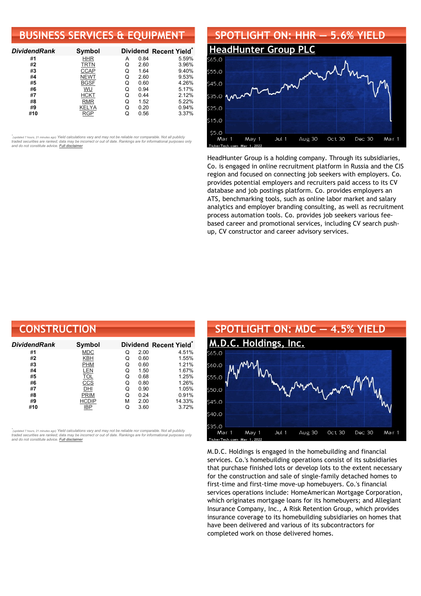## **BUSINESS SERVICES & EQUIPMENT**

| <b>DividendRank</b> | Symbol      |   |      | Dividend Recent Yield* |
|---------------------|-------------|---|------|------------------------|
| #1                  | <b>HHR</b>  | А | 0.84 | 5.59%                  |
| #2                  | <b>TRTN</b> | O | 2.60 | 3.96%                  |
| #3                  | <b>CCAP</b> | Q | 1.64 | 9.40%                  |
| #4                  | <b>NEWT</b> | Q | 2.60 | 9.53%                  |
| #5                  | <b>BGSF</b> | Q | 0.60 | 4.26%                  |
| #6                  | WU          | Q | 0.94 | 5.17%                  |
| #7                  | <b>HCKT</b> | Q | 0.44 | 2.12%                  |
| #8                  | <b>RMR</b>  | Q | 1.52 | 5.22%                  |
| #9                  | KELYA       | Q | 0.20 | 0.94%                  |
| #10                 | <b>RGP</b>  |   | 0.56 | 3.37%                  |

•<br>"<sub>(updated 7 hours, 21 minutes ago) Yield calculations vary and may not be reliable nor comparable. Not all publicly<br>traded securities are ranked; data may be incorrect or out of date. Rankings are for informational purp</sub> *and do not constitute advice. Full [disclaimer](https://www.dividendchannel.com/disclaimer/)*



HeadHunter Group is a holding company. Through its subsidiaries, Co. is engaged in online recruitment platform in Russia and the CIS region and focused on connecting job seekers with employers. Co. provides potential employers and recruiters paid access to its CV database and job postings platform. Co. provides employers an ATS, benchmarking tools, such as online labor market and salary analytics and employer branding consulting, as well as recruitment process automation tools. Co. provides job seekers various feebased career and promotional services, including CV search pushup, CV constructor and career advisory services.

| <b>CONSTRUCTION</b> |              |   |      |                        |
|---------------------|--------------|---|------|------------------------|
| Dividend Rank       | Symbol       |   |      | Dividend Recent Yield* |
| #1                  | <b>MDC</b>   | Q | 2.00 | 4.51%                  |
| #2                  | KBH          | Q | 0.60 | 1.55%                  |
| #3                  | <b>PHM</b>   | Q | 0.60 | 1.21%                  |
| #4                  | LEN          | Q | 1.50 | 1.67%                  |
| #5                  | <b>TOL</b>   | Q | 0.68 | 1.25%                  |
| #6                  | CCS          | Q | 0.80 | 1.26%                  |
| #7                  | DHI          | Q | 0.90 | 1.05%                  |
| #8                  | <b>PRIM</b>  | Q | 0.24 | 0.91%                  |
| #9                  | <b>HCDIP</b> | М | 2.00 | 14.33%                 |
| #10                 | IBP          | Q | 3.60 | 3.72%                  |

*\** ated 7 hours, 21 minutes ago) Yield calculations vary and may not be reliable nor comparable. Not all publicly traded securities are ranked; data may be incorrect or out of date. Rankings are for informational purposes only *and do not constitute advice. Full [disclaimer](https://www.dividendchannel.com/disclaimer/)*



M.D.C. Holdings is engaged in the homebuilding and financial services. Co.'s homebuilding operations consist of its subsidiaries that purchase finished lots or develop lots to the extent necessary for the construction and sale of single-family detached homes to first-time and first-time move-up homebuyers. Co.'s financial services operations include: HomeAmerican Mortgage Corporation, which originates mortgage loans for its homebuyers; and Allegiant Insurance Company, Inc., A Risk Retention Group, which provides insurance coverage to its homebuilding subsidiaries on homes that have been delivered and various of its subcontractors for completed work on those delivered homes.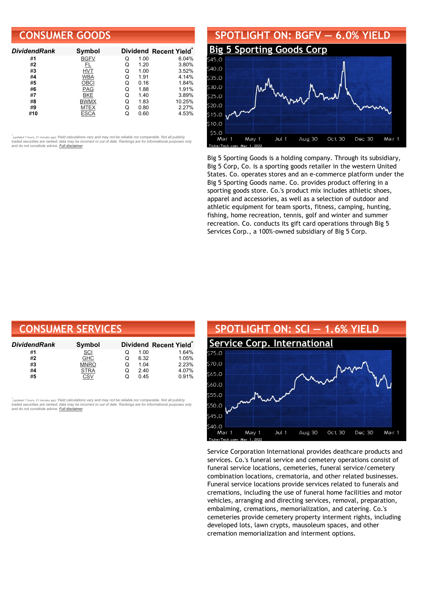## **CONSUMER GOODS**

| <b>DividendRank</b> | <b>Symbol</b> |   |      | Dividend Recent Yield* |
|---------------------|---------------|---|------|------------------------|
| #1                  | <b>BGFV</b>   | Q | 1.00 | 6.04%                  |
| #2                  | FL            | Q | 1.20 | 3.80%                  |
| #3                  | HVT           | Q | 1.00 | 3.52%                  |
| #4                  | <b>WBA</b>    | Q | 1.91 | 4.14%                  |
| #5                  | <b>OBCI</b>   | Q | 0.16 | 1.84%                  |
| #6                  | PAG           | O | 1.88 | 1.91%                  |
| #7                  | <b>BKE</b>    | Q | 1.40 | 3.89%                  |
| #8                  | <b>BWMX</b>   | Q | 1.83 | 10.25%                 |
| #9                  | MTEX          | Q | 0.80 | 2.27%                  |
| #10                 |               |   | 0.60 | 4.53%                  |

•<br>"<sub>(updated 7 hours, 21 minutes ago) Yield calculations vary and may not be reliable nor comparable. Not all publicly<br>traded securities are ranked; data may be incorrect or out of date. Rankings are for informational purp</sub> *and do not constitute advice. Full [disclaimer](https://www.dividendchannel.com/disclaimer/)*

#### **SPOTLIGHT ON: BGFV — 6.0% YIELD Big 5 [Sporting](http://www.dividendchannel.com/symbol/bgfv/) Goods Corp**  $40.0$  $35.0$ 230 U  $525.0$  $20.0$  $515.0$ 510.0 \$5.0 Jul 1 Aug 30 Oct 30 Dec 30 Mar 1 May 1 Mar 1

Big 5 Sporting Goods is a holding company. Through its subsidiary, Big 5 Corp, Co. is a sporting goods retailer in the western United States. Co. operates stores and an e-commerce platform under the Big 5 Sporting Goods name. Co. provides product offering in a sporting goods store. Co.'s product mix includes athletic shoes, apparel and accessories, as well as a selection of outdoor and athletic equipment for team sports, fitness, camping, hunting, fishing, home recreation, tennis, golf and winter and summer recreation. Co. conducts its gift card operations through Big 5 Services Corp., a 100%-owned subsidiary of Big 5 Corp.

| <b>CONSUMER SERVICES</b> |             |   |      |                                    |  |  |
|--------------------------|-------------|---|------|------------------------------------|--|--|
| DividendRank             | Symbol      |   |      | Dividend Recent Yield <sup>®</sup> |  |  |
| #1                       | <b>SCI</b>  | O | 1.00 | 1.64%                              |  |  |
| #2                       | <b>GHC</b>  | O | 6.32 | 1.05%                              |  |  |
| #3                       | <b>MNRO</b> | Q | 1.04 | 2.23%                              |  |  |
| #4                       | <b>STRA</b> | Q | 2.40 | 4.07%                              |  |  |
| #5                       | CSV         | Q | 0.45 | 0.91%                              |  |  |

tupdated 7 hours, 21 minutes ago) Yield calculations vary and may not be reliable nor comparable. Not all publicly traded securities are ranked; data may be incorrect or out of date. Rankings are for informational purposes only *and do not constitute advice. Full [disclaimer](https://www.dividendchannel.com/disclaimer/)*



Service Corporation International provides deathcare products and services. Co.'s funeral service and cemetery operations consist of funeral service locations, cemeteries, funeral service/cemetery combination locations, crematoria, and other related businesses. Funeral service locations provide services related to funerals and cremations, including the use of funeral home facilities and motor vehicles, arranging and directing services, removal, preparation, embalming, cremations, memorialization, and catering. Co.'s cemeteries provide cemetery property interment rights, including developed lots, lawn crypts, mausoleum spaces, and other cremation memorialization and interment options.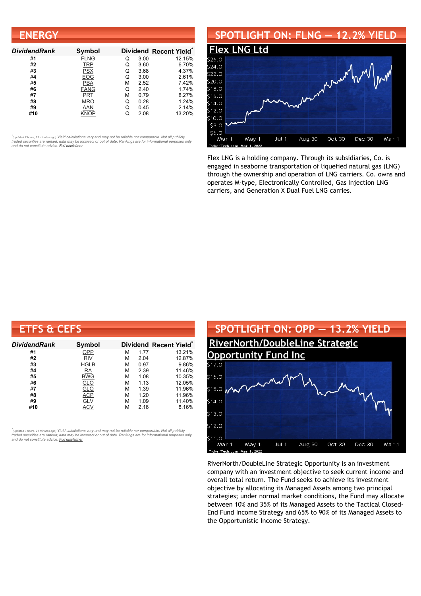| <b>ENERGY</b>       |             |   |      |                        |
|---------------------|-------------|---|------|------------------------|
| <b>DividendRank</b> | Symbol      |   |      | Dividend Recent Yield* |
| #1                  | <b>FLNG</b> | Q | 3.00 | 12.15%                 |
| #2                  | <b>TRP</b>  | Q | 3.60 | 6.70%                  |
| #3                  | <b>PSX</b>  | Q | 3.68 | 4.37%                  |
| #4                  | EOG         | Q | 3.00 | 2.61%                  |
| #5                  | <b>PBA</b>  | М | 2.52 | 7.42%                  |
| #6                  | <b>FANG</b> | Q | 2.40 | 1.74%                  |
| #7                  | PRT         | М | 0.79 | 8.27%                  |
| #8                  | <b>MRO</b>  | Q | 0.28 | 1.24%                  |
| #9                  | AAN         | Q | 0.45 | 2.14%                  |
| #10                 | KNOP        | Q | 2.08 | 13.20%                 |

## **SPOTLIGHT ON: FLNG — 12.2% YIELD**



Flex LNG is a holding company. Through its subsidiaries, Co. is engaged in seaborne transportation of liquefied natural gas (LNG) through the ownership and operation of LNG carriers. Co. owns and operates M-type, Electronically Controlled, Gas Injection LNG carriers, and Generation X Dual Fuel LNG carries.

| <b>ETFS &amp; CEFS</b> |               |   |      |                        |
|------------------------|---------------|---|------|------------------------|
| <b>DividendRank</b>    | <b>Symbol</b> |   |      | Dividend Recent Yield* |
| #1                     | OPP           | м | 1.77 | 13.21%                 |
| #2                     | RIV           | м | 2.04 | 12.87%                 |
| #3                     | <b>HGLB</b>   | М | 0.97 | 9.86%                  |
| #4                     | RA            | М | 2.39 | 11.46%                 |
| #5                     | <b>BWG</b>    | М | 1.08 | 10.35%                 |
| #6                     | <b>GLO</b>    | М | 1.13 | 12.05%                 |
| #7                     | <b>GLQ</b>    | м | 1.39 | 11.96%                 |
| #8                     | <b>ACP</b>    | м | 1.20 | 11.96%                 |
| #9                     | <b>GLV</b>    | М | 1.09 | 11.40%                 |
| #10                    | ACV           | м | 2.16 | 8.16%                  |

*\** ated 7 hours, 21 minutes ago) Yield calculations vary and may not be reliable nor comparable. Not all publicly traded securities are ranked; data may be incorrect or out of date. Rankings are for informational purposes only *and do not constitute advice. Full [disclaimer](https://www.dividendchannel.com/disclaimer/)*



RiverNorth/DoubleLine Strategic Opportunity is an investment company with an investment objective to seek current income and overall total return. The Fund seeks to achieve its investment objective by allocating its Managed Assets among two principal strategies; under normal market conditions, the Fund may allocate between 10% and 35% of its Managed Assets to the Tactical Closed-End Fund Income Strategy and 65% to 90% of its Managed Assets to the Opportunistic Income Strategy.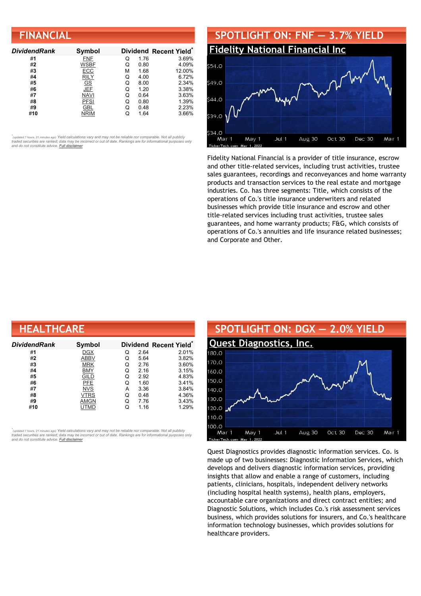| <b>FINANCIAL</b>    |             |   |      |                        |  |  |
|---------------------|-------------|---|------|------------------------|--|--|
| <b>DividendRank</b> | Symbol      |   |      | Dividend Recent Yield* |  |  |
| #1                  | <b>FNF</b>  |   | 1.76 | 3.69%                  |  |  |
| #2                  | <b>WSBF</b> |   | 0.80 | 4.09%                  |  |  |
| #3                  | ECC         | м | 1.68 | 12.00%                 |  |  |
| #4                  | <b>RILY</b> | O | 4.00 | 6.72%                  |  |  |
| #5                  | $GSJEF$     |   | 8.00 | 2.34%                  |  |  |
| #6                  |             |   | 1.20 | 3.38%                  |  |  |
| #7                  | NAVI        |   | 0.64 | 3.63%                  |  |  |

#**8** [PFSI](https://www.dividendchannel.com/symbol/pfsi) Q 0.80 1.39% #**9** [GBL](https://www.dividendchannel.com/symbol/gbl) Q 0.48 2.23% #**10** [NRIM](https://www.dividendchannel.com/symbol/nrim) Q 1.64 3.66%



Fidelity National Financial is a provider of title insurance, escrow and other title-related services, including trust activities, trustee sales guarantees, recordings and reconveyances and home warranty products and transaction services to the real estate and mortgage industries. Co. has three segments: Title, which consists of the operations of Co.'s title insurance underwriters and related businesses which provide title insurance and escrow and other title-related services including trust activities, trustee sales guarantees, and home warranty products; F&G, which consists of operations of Co.'s annuities and life insurance related businesses; and Corporate and Other.

| <b>HEALTHCARE</b> |             |   |      |                                    |  |
|-------------------|-------------|---|------|------------------------------------|--|
| DividendRank      | Symbol      |   |      | Dividend Recent Yield <sup>®</sup> |  |
| #1                | <b>DGX</b>  | Q | 2.64 | 2.01%                              |  |
| #2                | <b>ABBV</b> | Q | 5.64 | 3.82%                              |  |
| #3                | <b>MRK</b>  | Q | 2.76 | 3.60%                              |  |
| #4                | <b>BMY</b>  | Q | 2.16 | 3.15%                              |  |
| #5                | <b>GILD</b> | Q | 2.92 | 4.83%                              |  |
| #6                | <b>PFE</b>  | Q | 1.60 | 3.41%                              |  |
| #7                | <b>NVS</b>  | А | 3.36 | 3.84%                              |  |
| #8                | VTRS        | Q | 0.48 | 4.36%                              |  |
| #9                | <b>AMGN</b> | Q | 7.76 | 3.43%                              |  |
| #10               | UTMD        | Q | 1.16 | 1.29%                              |  |

*\** ated 7 hours, 21 minutes ago) Yield calculations vary and may not be reliable nor comparable. Not all publicly traded securities are ranked; data may be incorrect or out of date. Rankings are for informational purposes only *and do not constitute advice. Full [disclaimer](https://www.dividendchannel.com/disclaimer/)*



Quest Diagnostics provides diagnostic information services. Co. is made up of two businesses: Diagnostic Information Services, which develops and delivers diagnostic information services, providing insights that allow and enable a range of customers, including patients, clinicians, hospitals, independent delivery networks (including hospital health systems), health plans, employers, accountable care organizations and direct contract entities; and Diagnostic Solutions, which includes Co.'s risk assessment services business, which provides solutions for insurers, and Co.'s healthcare information technology businesses, which provides solutions for healthcare providers.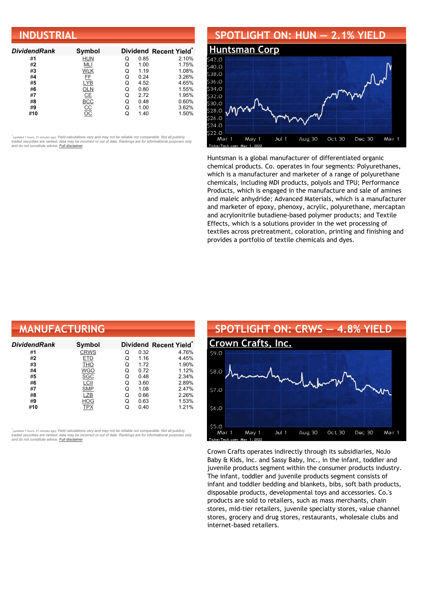| <b>INDUSTRIAL</b>   |               |   |      |                        |  |  |
|---------------------|---------------|---|------|------------------------|--|--|
| <b>DividendRank</b> | Symbol        |   |      | Dividend Recent Yield* |  |  |
| #1                  | <b>HUN</b>    | Q | 0.85 | 2.10%                  |  |  |
| #2                  | MLI           | Q | 1.00 | 1.75%                  |  |  |
| #3                  | <b>WLK</b>    | Q | 1.19 | 1.08%                  |  |  |
| #4                  | FF            | Q | 0.24 | 3.26%                  |  |  |
| #5                  | <b>LYB</b>    | Q | 4.52 | 4.65%                  |  |  |
| #6                  | OLN           | Q | 0.80 | 1.55%                  |  |  |
| #7                  | CE            | Q | 2.72 | 1.95%                  |  |  |
| #8                  | BCC           | Q | 0.48 | 0.60%                  |  |  |
| #9                  | $rac{CC}{OC}$ | Q | 1.00 | 3.62%                  |  |  |
| #10                 |               | Q | 1.40 | 1.50%                  |  |  |

## **SPOTLIGHT ON: HUN — 2.1% YIELD**



Huntsman is a global manufacturer of differentiated organic chemical products. Co. operates in four segments: Polyurethanes, which is a manufacturer and marketer of a range of polyurethane chemicals, including MDI products, polyols and TPU; Performance Products, which is engaged in the manufacture and sale of amines and maleic anhydride; Advanced Materials, which is a manufacturer and marketer of epoxy, phenoxy, acrylic, polyurethane, mercaptan and acrylonitrile butadiene-based polymer products; and Textile Effects, which is a solutions provider in the wet processing of textiles across pretreatment, coloration, printing and finishing and provides a portfolio of textile chemicals and dyes.

| <b>MANUFACTURING</b> |             |   |      |                                    |  |
|----------------------|-------------|---|------|------------------------------------|--|
| DividendRank         | Symbol      |   |      | Dividend Recent Yield <sup>®</sup> |  |
| #1                   | <b>CRWS</b> | Q | 0.32 | 4.76%                              |  |
| #2                   | <b>ETD</b>  | Q | 1.16 | 4.45%                              |  |
| #3                   | <b>THO</b>  | Q | 1.72 | 1.90%                              |  |
| #4                   | <b>WGO</b>  | Q | 0.72 | 1.12%                              |  |
| #5                   | <b>SGC</b>  | Q | 0.48 | 2.34%                              |  |
| #6                   | LCII        | Q | 3.60 | 2.89%                              |  |
| #7                   | <b>SMP</b>  | Q | 1.08 | 2.47%                              |  |
| #8                   | LZB         | Q | 0.66 | 2.26%                              |  |
| #9                   | <b>HOG</b>  | Q | 0.63 | 1.53%                              |  |
| #10                  | <b>TPX</b>  | Q | 0.40 | 1.21%                              |  |

*\** ated 7 hours, 21 minutes ago) Yield calculations vary and may not be reliable nor comparable. Not all publicly traded securities are ranked; data may be incorrect or out of date. Rankings are for informational purposes only *and do not constitute advice. Full [disclaimer](https://www.dividendchannel.com/disclaimer/)*



Crown Crafts operates indirectly through its subsidiaries, NoJo Baby & Kids, Inc. and Sassy Baby, Inc., in the infant, toddler and juvenile products segment within the consumer products industry. The infant, toddler and juvenile products segment consists of infant and toddler bedding and blankets, bibs, soft bath products, disposable products, developmental toys and accessories. Co.'s products are sold to retailers, such as mass merchants, chain stores, mid-tier retailers, juvenile specialty stores, value channel stores, grocery and drug stores, restaurants, wholesale clubs and internet-based retailers.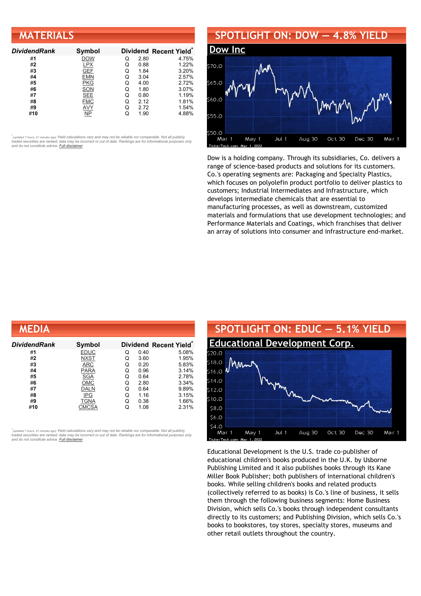| <b>MATERIALS</b>    |               |   |      |                        |
|---------------------|---------------|---|------|------------------------|
| <b>DividendRank</b> | <b>Symbol</b> |   |      | Dividend Recent Yield* |
| #1                  | <b>DOW</b>    | Q | 2.80 | 4.75%                  |
| #2                  | <b>LPX</b>    | Q | 0.88 | 1.22%                  |
| #3                  | <b>GEF</b>    | Q | 1.84 | 3.20%                  |
| #4                  | <b>EMN</b>    | Q | 3.04 | 2.57%                  |
| #5                  | <b>PKG</b>    | Q | 4.00 | 2.72%                  |
| #6                  | <b>SON</b>    | Q | 1.80 | 3.07%                  |
| #7                  | <b>SEE</b>    | Q | 0.80 | 1.19%                  |
| #8                  | <b>FMC</b>    | Q | 2.12 | 1.81%                  |
| #9                  | AVY           | Q | 2.72 | 1.54%                  |
| #10                 | <b>NP</b>     | Q | 1.90 | 4.88%                  |

# **SPOTLIGHT ON: DOW — 4.8% YIELD**



Dow is a holding company. Through its subsidiaries, Co. delivers a range of science-based products and solutions for its customers. Co.'s operating segments are: Packaging and Specialty Plastics, which focuses on polyolefin product portfolio to deliver plastics to customers; Industrial Intermediates and Infrastructure, which develops intermediate chemicals that are essential to manufacturing processes, as well as downstream, customized materials and formulations that use development technologies; and Performance Materials and Coatings, which franchises that deliver an array of solutions into consumer and infrastructure end-market.

| MEDIA         |             |   |      |                                    |
|---------------|-------------|---|------|------------------------------------|
| Dividend Rank | Symbol      |   |      | Dividend Recent Yield <sup>®</sup> |
| #1            | <b>EDUC</b> | Q | 0.40 | 5.08%                              |
| #2            | <b>NXST</b> | Q | 3.60 | 1.95%                              |
| #3            | ARC         | Q | 0.20 | 5.83%                              |
| #4            | <b>PARA</b> | Q | 0.96 | 3.14%                              |
| #5            | <b>SGA</b>  | Q | 0.64 | 2.78%                              |
| #6            | OMC         | Q | 2.80 | 3.34%                              |
| #7            | <b>DALN</b> | Q | 0.64 | 9.89%                              |
| #8            | <b>IPG</b>  | Q | 1.16 | 3.15%                              |
| #9            | <b>TGNA</b> | Q | 0.38 | 1.66%                              |
| #10           | CMCSA       | Q | 1.08 | 2.31%                              |

*\** ated 7 hours, 21 minutes ago) Yield calculations vary and may not be reliable nor comparable. Not all publicly traded securities are ranked; data may be incorrect or out of date. Rankings are for informational purposes only *and do not constitute advice. Full [disclaimer](https://www.dividendchannel.com/disclaimer/)*



Educational Development is the U.S. trade co-publisher of educational children's books produced in the U.K. by Usborne Publishing Limited and it also publishes books through its Kane Miller Book Publisher; both publishers of international children's books. While selling children's books and related products (collectively referred to as books) is Co.'s line of business, it sells them through the following business segments: Home Business Division, which sells Co.'s books through independent consultants directly to its customers; and Publishing Division, which sells Co.'s books to bookstores, toy stores, specialty stores, museums and other retail outlets throughout the country.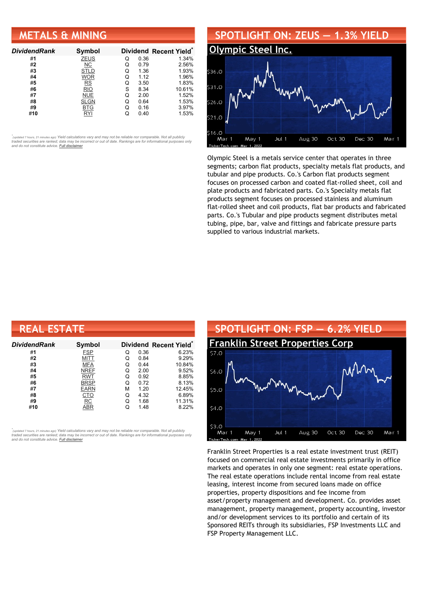## **METALS & MINING**

| <b>DividendRank</b> | Symbol      |   |      | Dividend Recent Yield* |
|---------------------|-------------|---|------|------------------------|
| #1                  | <b>ZEUS</b> | Q | 0.36 | 1.34%                  |
| #2                  | NС          | Q | 0.79 | 2.56%                  |
| #3                  | STLD        | Q | 1.36 | 1.93%                  |
| #4                  | <b>WOR</b>  | Q | 1.12 | 1.96%                  |
| #5                  | RS          | Q | 3.50 | 1.83%                  |
| #6                  | <b>RIO</b>  | S | 8.34 | 10.61%                 |
| #7                  | <b>NUE</b>  | Q | 2.00 | 1.52%                  |
| #8                  | <b>SLGN</b> | Q | 0.64 | 1.53%                  |
| #9                  | <b>BTG</b>  | Q | 0.16 | 3.97%                  |
| #10                 | RYI         |   | 0.40 | 1.53%                  |

•<br>"<sub>(updated 7 hours, 21 minutes ago) Yield calculations vary and may not be reliable nor comparable. Not all publicly<br>traded securities are ranked; data may be incorrect or out of date. Rankings are for informational purp</sub> *and do not constitute advice. Full [disclaimer](https://www.dividendchannel.com/disclaimer/)*

### **SPOTLIGHT ON: ZEUS — 1.3% YIELD [Olympic](http://www.dividendchannel.com/symbol/zeus/) Steel Inc.** 536.0 531 O  $526C$  $516C$ May 1 Aug 30 Jul 1 Oct 30 Dec 30 Mar 1 Mar

Olympic Steel is a metals service center that operates in three segments; carbon flat products, specialty metals flat products, and tubular and pipe products. Co.'s Carbon flat products segment focuses on processed carbon and coated flat-rolled sheet, coil and plate products and fabricated parts. Co.'s Specialty metals flat products segment focuses on processed stainless and aluminum flat-rolled sheet and coil products, flat bar products and fabricated parts. Co.'s Tubular and pipe products segment distributes metal tubing, pipe, bar, valve and fittings and fabricate pressure parts supplied to various industrial markets.

| <b>REAL ESTATE</b> |             |   |      |                        |  |  |
|--------------------|-------------|---|------|------------------------|--|--|
| DividendRank       | Symbol      |   |      | Dividend Recent Yield* |  |  |
| #1                 | <b>FSP</b>  | Q | 0.36 | 6.23%                  |  |  |
| #2                 | <b>MITT</b> | Q | 0.84 | 9.29%                  |  |  |
| #3                 | MFA         | Q | 0.44 | 10.84%                 |  |  |
| #4                 | <b>NREF</b> | Q | 2.00 | 9.52%                  |  |  |
| #5                 | <b>RWT</b>  | Q | 0.92 | 8.85%                  |  |  |
| #6                 | <b>BRSP</b> | Q | 0.72 | 8.13%                  |  |  |
| #7                 | <b>EARN</b> | М | 1.20 | 12.45%                 |  |  |
| #8                 | <u>CTO</u>  | Q | 4.32 | 6.89%                  |  |  |
| #9                 | RC          | Q | 1.68 | 11.31%                 |  |  |
| #10                | ABR         | Q | 1.48 | 8.22%                  |  |  |

*\** ated 7 hours, 21 minutes ago) Yield calculations vary and may not be reliable nor comparable. Not all publicly traded securities are ranked; data may be incorrect or out of date. Rankings are for informational purposes only *and do not constitute advice. Full [disclaimer](https://www.dividendchannel.com/disclaimer/)*



Franklin Street Properties is a real estate investment trust (REIT) focused on commercial real estate investments primarily in office markets and operates in only one segment: real estate operations. The real estate operations include rental income from real estate leasing, interest income from secured loans made on office properties, property dispositions and fee income from asset/property management and development. Co. provides asset management, property management, property accounting, investor and/or development services to its portfolio and certain of its Sponsored REITs through its subsidiaries, FSP Investments LLC and FSP Property Management LLC.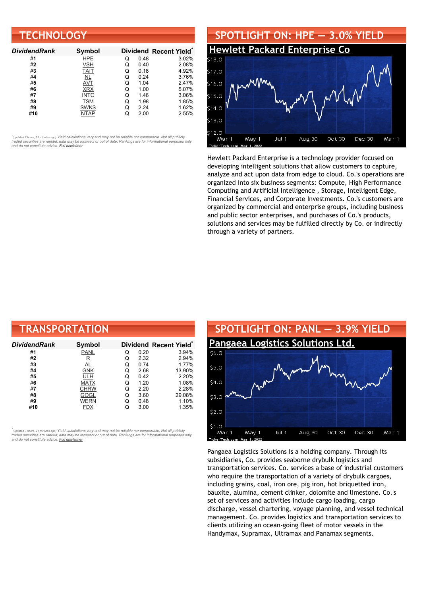| <b>TECHNOLOGY</b>   |               |   |      |                        |  |
|---------------------|---------------|---|------|------------------------|--|
| <b>DividendRank</b> | <b>Symbol</b> |   |      | Dividend Recent Yield* |  |
| #1                  | <b>HPE</b>    | Q | 0.48 | 3.02%                  |  |
| #2                  | VSH           | Q | 0.40 | 2.08%                  |  |
| #3                  | <b>TAIT</b>   | Q | 0.18 | 4.92%                  |  |
| #4                  | NL            | Q | 0.24 | 3.76%                  |  |
| #5                  | <b>AVT</b>    | Q | 1.04 | 2.47%                  |  |
| #6                  | <b>XRX</b>    | Q | 1.00 | 5.07%                  |  |
| #7                  | <b>INTC</b>   | Q | 1.46 | 3.06%                  |  |
| #8                  | <b>TSM</b>    | Q | 1.98 | 1.85%                  |  |
| #9                  | <b>SWKS</b>   | Q | 2.24 | 1.62%                  |  |
| #10                 | <b>NTAP</b>   | Q | 2.00 | 2.55%                  |  |



Hewlett Packard Enterprise is a technology provider focused on developing intelligent solutions that allow customers to capture, analyze and act upon data from edge to cloud. Co.'s operations are organized into six business segments: Compute, High Performance Computing and Artificial Intelligence , Storage, Intelligent Edge, Financial Services, and Corporate Investments. Co.'s customers are organized by commercial and enterprise groups, including business and public sector enterprises, and purchases of Co.'s products, solutions and services may be fulfilled directly by Co. or indirectly through a variety of partners.

| <b>TRANSPORTATION</b> |                      |   |      |                                    |  |
|-----------------------|----------------------|---|------|------------------------------------|--|
| <b>DividendRank</b>   | <b>Symbol</b>        |   |      | Dividend Recent Yield <sup>®</sup> |  |
| #1                    | PANL                 | Q | 0.20 | 3.94%                              |  |
| #2                    | $_{\tiny{\text{R}}}$ | Q | 2.32 | 2.94%                              |  |
| #3                    | <u>AL</u>            | Q | 0.74 | 1.77%                              |  |
| #4                    | <b>GNK</b>           | Q | 2.68 | 13.90%                             |  |
| #5                    | ULH                  | Q | 0.42 | 2.20%                              |  |
| #6                    | <b>MATX</b>          | Q | 1.20 | 1.08%                              |  |
| #7                    | <b>CHRW</b>          | Q | 2.20 | 2.28%                              |  |
| #8                    | GOGL                 | Q | 3.60 | 29.08%                             |  |
| #9                    | WERN                 | Q | 0.48 | 1.10%                              |  |
| #10                   | FDX                  | Q | 3.00 | 1.35%                              |  |

*\** ated 7 hours, 21 minutes ago) Yield calculations vary and may not be reliable nor comparable. Not all publicly traded securities are ranked; data may be incorrect or out of date. Rankings are for informational purposes only *and do not constitute advice. Full [disclaimer](https://www.dividendchannel.com/disclaimer/)*



Pangaea Logistics Solutions is a holding company. Through its subsidiaries, Co. provides seaborne drybulk logistics and transportation services. Co. services a base of industrial customers who require the transportation of a variety of drybulk cargoes, including grains, coal, iron ore, pig iron, hot briquetted iron, bauxite, alumina, cement clinker, dolomite and limestone. Co.'s set of services and activities include cargo loading, cargo discharge, vessel chartering, voyage planning, and vessel technical management. Co. provides logistics and transportation services to clients utilizing an ocean-going fleet of motor vessels in the Handymax, Supramax, Ultramax and Panamax segments.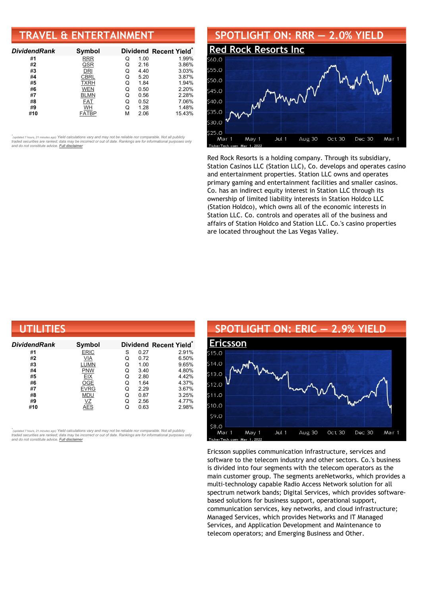## **TRAVEL & ENTERTAINMENT**

| <b>DividendRank</b> | Symbol      |   |      | Dividend Recent Yield* |
|---------------------|-------------|---|------|------------------------|
| #1                  | <b>RRR</b>  | Q | 1.00 | 1.99%                  |
| #2                  | QSR         | Q | 2.16 | 3.86%                  |
| #3                  | DRI         | Q | 4.40 | 3.03%                  |
| #4                  | CBRL        | Q | 5.20 | 3.87%                  |
| #5                  | <b>TXRH</b> | Q | 1.84 | 1.94%                  |
| #6                  | <b>WEN</b>  | Q | 0.50 | 2.20%                  |
| #7                  | <b>BLMN</b> | Q | 0.56 | 2.28%                  |
| #8                  | <b>FAT</b>  | Q | 0.52 | 7.06%                  |
| #9                  | WH          | Q | 1.28 | 1.48%                  |
| #10                 | FATBP       | м | 2.06 | 15.43%                 |

•<br>"<sub>(updated 7 hours, 21 minutes ago) Yield calculations vary and may not be reliable nor comparable. Not all publicly<br>traded securities are ranked; data may be incorrect or out of date. Rankings are for informational purp</sub> *and do not constitute advice. Full [disclaimer](https://www.dividendchannel.com/disclaimer/)*

#### **SPOTLIGHT ON: RRR — 2.0% YIELD Red Rock [Resorts](http://www.dividendchannel.com/symbol/rrr/) Inc** \$60.0 \$55.0  $50.0$ www \$45.0  $540.0$ \$35.0 es d  $250$ Jul 1 Aug 30 Oct 30 Dec 30 Mar 1 Mar May 1

Red Rock Resorts is a holding company. Through its subsidiary, Station Casinos LLC (Station LLC), Co. develops and operates casino and entertainment properties. Station LLC owns and operates primary gaming and entertainment facilities and smaller casinos. Co. has an indirect equity interest in Station LLC through its ownership of limited liability interests in Station Holdco LLC (Station Holdco), which owns all of the economic interests in Station LLC. Co. controls and operates all of the business and affairs of Station Holdco and Station LLC. Co.'s casino properties are located throughout the Las Vegas Valley.

| UTILITIES     |             |   |      |                                    |
|---------------|-------------|---|------|------------------------------------|
| Dividend Rank | Symbol      |   |      | Dividend Recent Yield <sup>®</sup> |
| #1            | <b>ERIC</b> | S | 0.27 | 2.91%                              |
| #2            | VIA         | Q | 0.72 | 6.50%                              |
| #3            | <b>LUMN</b> | Q | 1.00 | 9.65%                              |
| #4            | <b>PNW</b>  | Q | 3.40 | 4.80%                              |
| #5            | <b>EIX</b>  | Q | 2.80 | 4.42%                              |
| #6            | <b>OGE</b>  | Q | 1.64 | 4.37%                              |
| #7            | <b>EVRG</b> | Q | 2.29 | 3.67%                              |
| #8            | <b>MDU</b>  | Q | 0.87 | 3.25%                              |
| #9            | VΖ          | Q | 2.56 | 4.77%                              |
| #10           | <b>AES</b>  | Q | 0.63 | 2.98%                              |

*\** ated 7 hours, 21 minutes ago) Yield calculations vary and may not be reliable nor comparable. Not all publicly traded securities are ranked; data may be incorrect or out of date. Rankings are for informational purposes only *and do not constitute advice. Full [disclaimer](https://www.dividendchannel.com/disclaimer/)*

## **SPOTLIGHT ON: ERIC — 2.9% YIELD [Ericsson](http://www.dividendchannel.com/symbol/eric/)** \$15.0  $514.0$  $13.0$  $512C$  $$11.0$  $$10.0$ \$9.0

 $Jul.1$ 

 $580$ 

Mar 1

kerTecl

May 1

Ericsson supplies communication infrastructure, services and software to the telecom industry and other sectors. Co.'s business is divided into four segments with the telecom operators as the main customer group. The segments areNetworks, which provides a multi-technology capable Radio Access Network solution for all spectrum network bands; Digital Services, which provides softwarebased solutions for business support, operational support, communication services, key networks, and cloud infrastructure; Managed Services, which provides Networks and IT Managed Services, and Application Development and Maintenance to telecom operators; and Emerging Business and Other.

Aug 30

Oct 30

Dec 30

Mar 1